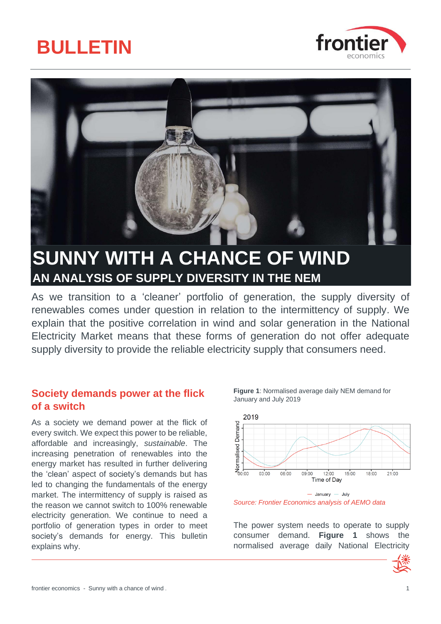





## **SUNNY WITH A CHANCE OF WIND AN ANALYSIS OF SUPPLY DIVERSITY IN THE NEM**

As we transition to a 'cleaner' portfolio of generation, the supply diversity of renewables comes under question in relation to the intermittency of supply. We explain that the positive correlation in wind and solar generation in the National Electricity Market means that these forms of generation do not offer adequate supply diversity to provide the reliable electricity supply that consumers need.

### **Society demands power at the flick of a switch**

As a society we demand power at the flick of every switch. We expect this power to be reliable, affordable and increasingly, *sustainable*. The increasing penetration of renewables into the energy market has resulted in further delivering the 'clean' aspect of society's demands but has led to changing the fundamentals of the energy market. The intermittency of supply is raised as the reason we cannot switch to 100% renewable electricity generation. We continue to need a portfolio of generation types in order to meet society's demands for energy. This bulletin explains why.

<span id="page-0-0"></span>**Figure 1**: Normalised average daily NEM demand for January and July 2019



 $-$  January  $-$  July *Source: Frontier Economics analysis of AEMO data*

The power system needs to operate to supply consumer demand. **[Figure 1](#page-0-0)** shows the normalised average daily National Electricity

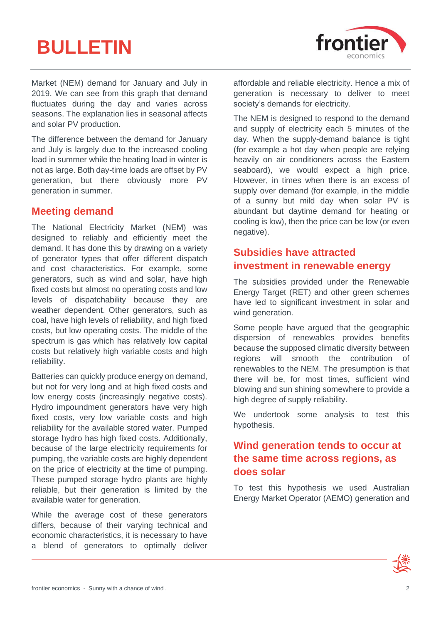# **BULLETIN**



Market (NEM) demand for January and July in 2019. We can see from this graph that demand fluctuates during the day and varies across seasons. The explanation lies in seasonal affects and solar PV production.

The difference between the demand for January and July is largely due to the increased cooling load in summer while the heating load in winter is not as large. Both day-time loads are offset by PV generation, but there obviously more PV generation in summer.

### **Meeting demand**

The National Electricity Market (NEM) was designed to reliably and efficiently meet the demand. It has done this by drawing on a variety of generator types that offer different dispatch and cost characteristics. For example, some generators, such as wind and solar, have high fixed costs but almost no operating costs and low levels of dispatchability because they are weather dependent. Other generators, such as coal, have high levels of reliability, and high fixed costs, but low operating costs. The middle of the spectrum is gas which has relatively low capital costs but relatively high variable costs and high reliability.

Batteries can quickly produce energy on demand, but not for very long and at high fixed costs and low energy costs (increasingly negative costs). Hydro impoundment generators have very high fixed costs, very low variable costs and high reliability for the available stored water. Pumped storage hydro has high fixed costs. Additionally, because of the large electricity requirements for pumping, the variable costs are highly dependent on the price of electricity at the time of pumping. These pumped storage hydro plants are highly reliable, but their generation is limited by the available water for generation.

While the average cost of these generators differs, because of their varying technical and economic characteristics, it is necessary to have a blend of generators to optimally deliver

affordable and reliable electricity. Hence a mix of generation is necessary to deliver to meet society's demands for electricity.

The NEM is designed to respond to the demand and supply of electricity each 5 minutes of the day. When the supply-demand balance is tight (for example a hot day when people are relying heavily on air conditioners across the Eastern seaboard), we would expect a high price. However, in times when there is an excess of supply over demand (for example, in the middle of a sunny but mild day when solar PV is abundant but daytime demand for heating or cooling is low), then the price can be low (or even negative).

### **Subsidies have attracted investment in renewable energy**

The subsidies provided under the Renewable Energy Target (RET) and other green schemes have led to significant investment in solar and wind generation.

Some people have argued that the geographic dispersion of renewables provides benefits because the supposed climatic diversity between regions will smooth the contribution of renewables to the NEM. The presumption is that there will be, for most times, sufficient wind blowing and sun shining somewhere to provide a high degree of supply reliability.

We undertook some analysis to test this hypothesis.

### **Wind generation tends to occur at the same time across regions, as does solar**

To test this hypothesis we used Australian Energy Market Operator (AEMO) generation and

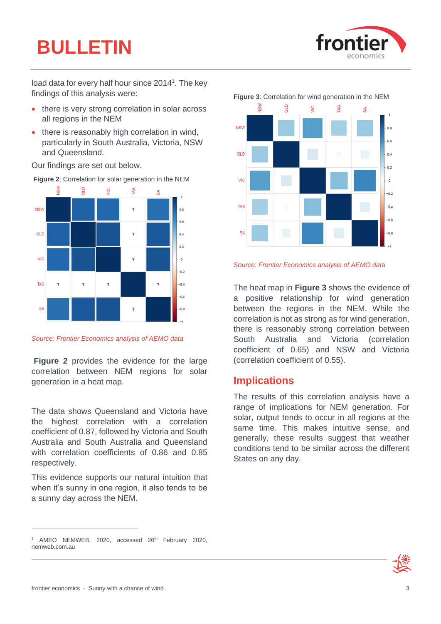# **BULLETIN**



load data for every half hour since 2014<sup>1</sup>. The key findings of this analysis were:

- there is very strong correlation in solar across all regions in the NEM
- there is reasonably high correlation in wind, particularly in South Australia, Victoria, NSW and Queensland.

Our findings are set out below.



<span id="page-2-0"></span>**Figure 2**: Correlation for solar generation in the NEM

*Source: Frontier Economics analysis of AEMO data*

**[Figure 2](#page-2-0)** provides the evidence for the large correlation between NEM regions for solar generation in a heat map.

The data shows Queensland and Victoria have the highest correlation with a correlation coefficient of 0.87, followed by Victoria and South Australia and South Australia and Queensland with correlation coefficients of 0.86 and 0.85 respectively.

This evidence supports our natural intuition that when it's sunny in one region, it also tends to be a sunny day across the NEM.

<span id="page-2-1"></span>

*Source: Frontier Economics analysis of AEMO data* 

The heat map in **[Figure 3](#page-2-1)** shows the evidence of a positive relationship for wind generation between the regions in the NEM. While the correlation is not as strong as for wind generation, there is reasonably strong correlation between South Australia and Victoria (correlation coefficient of 0.65) and NSW and Victoria (correlation coefficient of 0.55).

### **Implications**

The results of this correlation analysis have a range of implications for NEM generation. For solar, output tends to occur in all regions at the same time. This makes intuitive sense, and generally, these results suggest that weather conditions tend to be similar across the different States on any day.



<sup>&</sup>lt;sup>1</sup> AMEO NEMWEB, 2020, accessed  $26<sup>th</sup>$  February 2020, nemweb.com.au